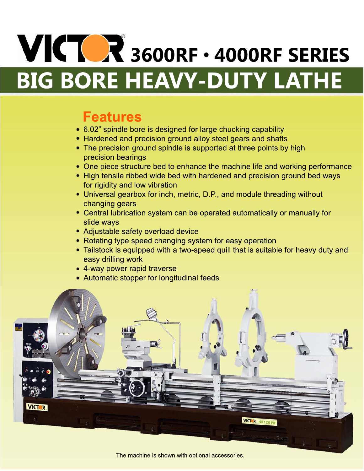# **VICTOR** 3600RF · 4000RF SERIES **BIG BORE HEAVY-DUTY LATHE**

## **Features**

- 6.02" spindle bore is designed for large chucking capability
- Hardened and precision ground alloy steel gears and shafts
- The precision ground spindle is supported at three points by high precision bearings
- One piece structure bed to enhance the machine life and working performance
- High tensile ribbed wide bed with hardened and precision ground bed ways for rigidity and low vibration
- Universal gearbox for inch, metric, D.P., and module threading without changing gears
- Central lubrication system can be operated automatically or manually for slide ways
- Adjustable safety overload device
- Rotating type speed changing system for easy operation
- Tailstock is equipped with a two-speed quill that is suitable for heavy duty and easy drilling work
- 4-way power rapid traverse
- Automatic stopper for longitudinal feeds